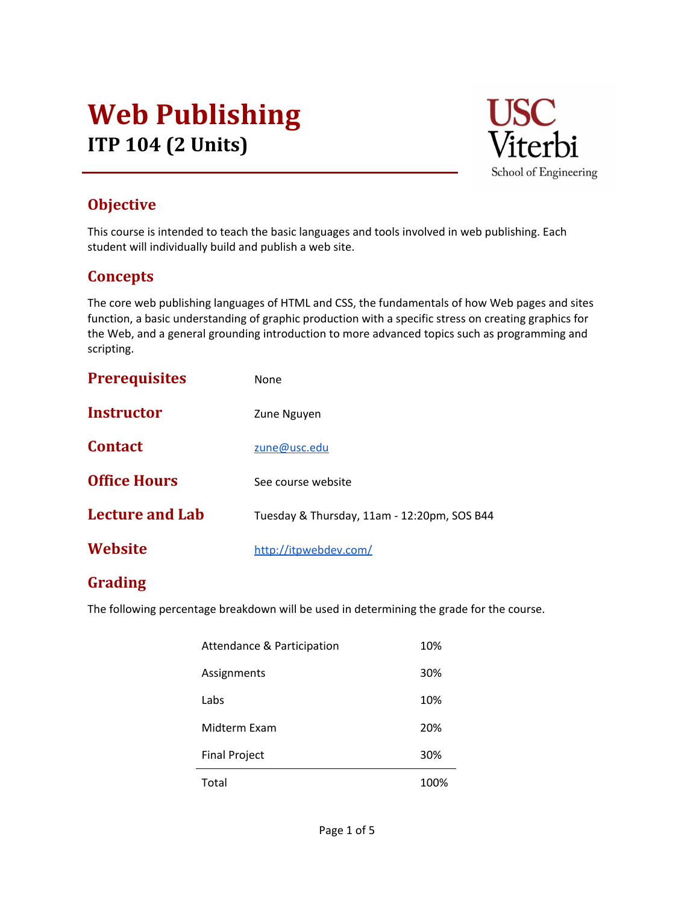## Web Publishing ITP 104 (2 Units)



## **Objective**

This course is intended to teach the basic languages and tools involved in web publishing. Each student will individually build and publish a web site.

### **Concepts**

The core web publishing languages of HTML and CSS, the fundamentals of how Web pages and sites function, a basic understanding of graphic production with a specific stress on creating graphics for the Web, and a general grounding introduction to more advanced topics such as programming and scripting.

| <b>Prerequisites</b>   | None                                        |  |
|------------------------|---------------------------------------------|--|
| <b>Instructor</b>      | Zune Nguyen                                 |  |
| <b>Contact</b>         | zune@usc.edu                                |  |
| <b>Office Hours</b>    | See course website                          |  |
| <b>Lecture and Lab</b> | Tuesday & Thursday, 11am - 12:20pm, SOS B44 |  |
| Website                | http://itpwebdev.com/                       |  |

## Grading

The following percentage breakdown will be used in determining the grade for the course.

| Total                      | 100% |
|----------------------------|------|
| <b>Final Project</b>       | 30%  |
| Midterm Exam               | 20%  |
| Labs                       | 10%  |
| Assignments                | 30%  |
| Attendance & Participation | 10%  |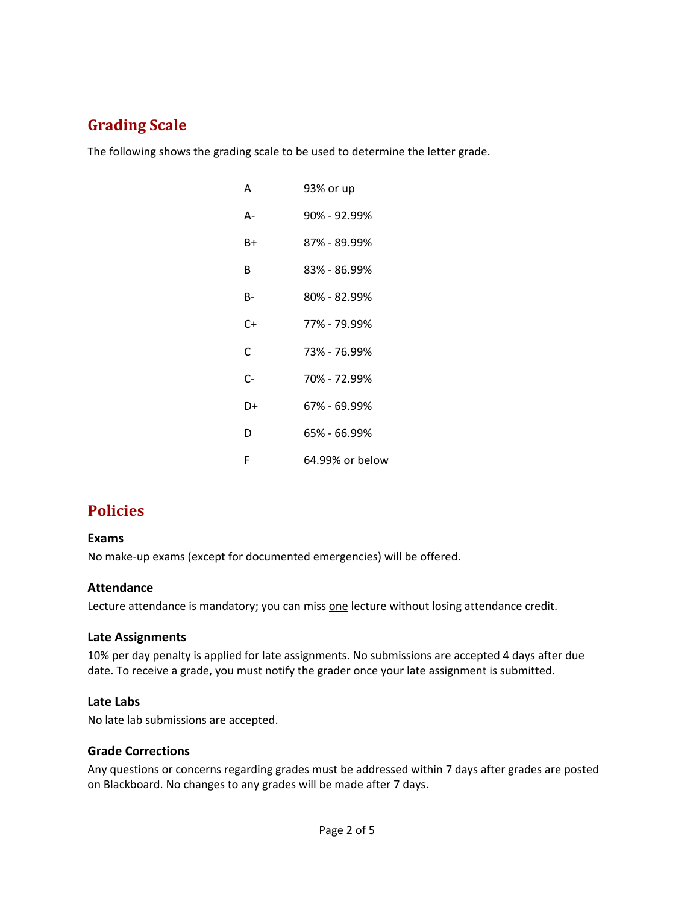## Grading Scale

The following shows the grading scale to be used to determine the letter grade.

| А  | 93% or up       |
|----|-----------------|
| А- | 90% - 92.99%    |
| B+ | 87% - 89.99%    |
| B  | 83% - 86.99%    |
| B- | 80% - 82.99%    |
| C+ | 77% - 79.99%    |
| C  | 73% - 76.99%    |
| C- | 70% - 72.99%    |
| D+ | 67% - 69.99%    |
| D  | 65% - 66.99%    |
| F  | 64.99% or below |

## Policies

#### Exams

No make-up exams (except for documented emergencies) will be offered.

#### Attendance

Lecture attendance is mandatory; you can miss one lecture without losing attendance credit.

#### Late Assignments

10% per day penalty is applied for late assignments. No submissions are accepted 4 days after due date. To receive a grade, you must notify the grader once your late assignment is submitted.

#### Late Labs

No late lab submissions are accepted.

#### Grade Corrections

Any questions or concerns regarding grades must be addressed within 7 days after grades are posted on Blackboard. No changes to any grades will be made after 7 days.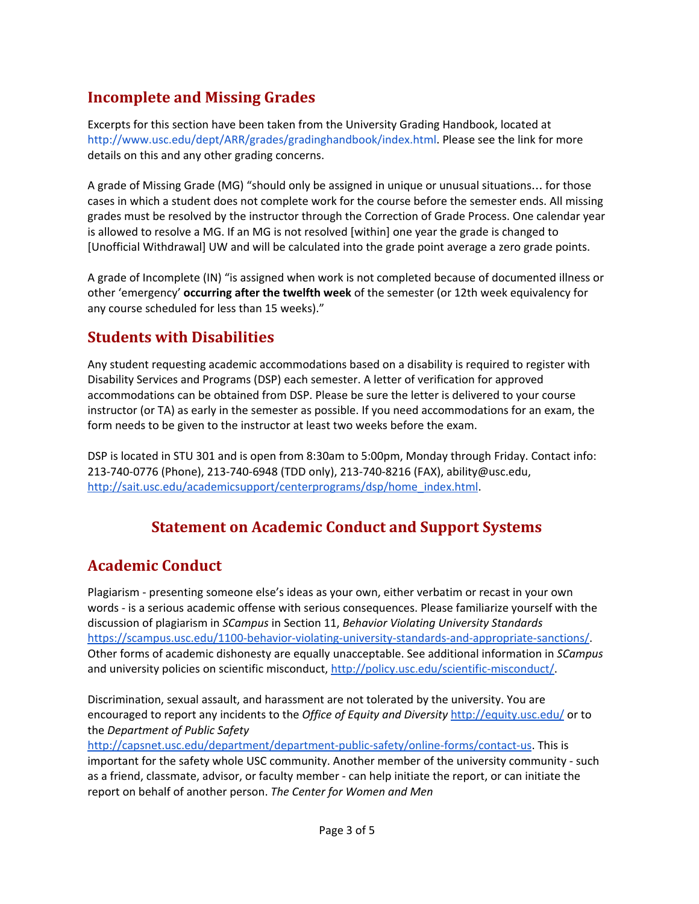## Incomplete and Missing Grades

Excerpts for this section have been taken from the University Grading Handbook, located at <http://www.usc.edu/dept/ARR/grades/gradinghandbook/index.html>. Please see the link for more details on this and any other grading concerns.

A grade of Missing Grade (MG) "should only be assigned in unique or unusual situations… for those cases in which a student does not complete work for the course before the semester ends. All missing grades must be resolved by the instructor through the Correction of Grade Process. One calendar year is allowed to resolve a MG. If an MG is not resolved [within] one year the grade is changed to [Unofficial Withdrawal] UW and will be calculated into the grade point average a zero grade points.

A grade of Incomplete (IN) "is assigned when work is not completed because of documented illness or other 'emergency' occurring after the twelfth week of the semester (or 12th week equivalency for any course scheduled for less than 15 weeks)."

## Students with Disabilities

Any student requesting academic accommodations based on a disability is required to register with Disability Services and Programs (DSP) each semester. A letter of verification for approved accommodations can be obtained from DSP. Please be sure the letter is delivered to your course instructor (or TA) as early in the semester as possible. If you need accommodations for an exam, the form needs to be given to the instructor at least two weeks before the exam.

DSP is located in STU 301 and is open from 8:30am to 5:00pm, Monday through Friday. Contact info: 213-740-0776 (Phone), 213-740-6948 (TDD only), 213-740-8216 (FAX), ability@usc.edu[,](http://sait.usc.edu/academicsupport/centerprograms/dsp/home_index.html) [http://sait.usc.edu/academicsupport/centerprograms/dsp/home\\_index.html.](http://sait.usc.edu/academicsupport/centerprograms/dsp/home_index.html)

## Statement on Academic Conduct and Support Systems

## Academic Conduct

Plagiarism - presenting someone else's ideas as your own, either verbatim or recast in your own words - is a serious academic offense with serious consequences. Please familiarize yourself with the discussion of plagiarism in SCampus in Section 11, Behavior Violating University Standards [https://scampus.usc.edu/1100-behavior-violating-university-standards-and-appropriate-sanctions/.](https://scampus.usc.edu/1100-behavior-violating-university-standards-and-appropriate-sanctions/) Other forms of academic dishonesty are equally unacceptable. See additional information in SCampus and university policies on scientific misconduct, [http://policy.usc.edu/scientific-misconduct/.](http://policy.usc.edu/scientific-misconduct/)

Discrimination, sexual assault, and harassment are not tolerated by the university. You are encouraged to report any incidents to the Office of Equity and Diversity <http://equity.usc.edu/> or to the Department of Public Safety

[http://capsnet.usc.edu/department/department-public-safety/online-forms/contact-us.](http://capsnet.usc.edu/department/department-public-safety/online-forms/contact-us) This is important for the safety whole USC community. Another member of the university community - such as a friend, classmate, advisor, or faculty member - can help initiate the report, or can initiate the report on behalf of another person. The Center for Women and Men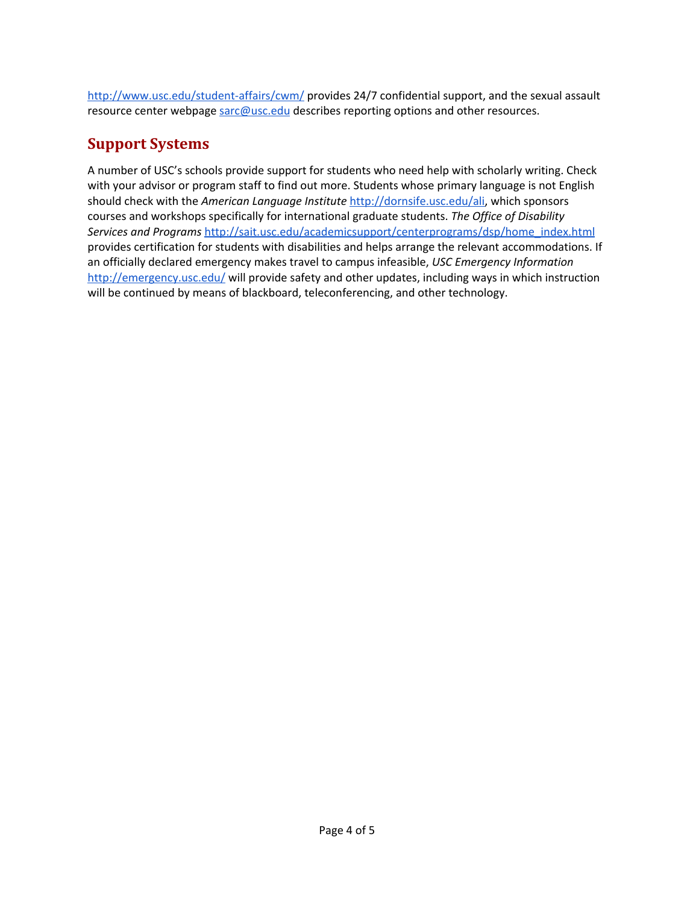<http://www.usc.edu/student-affairs/cwm/> provides 24/7 confidential support, and the sexual assault resource center webpage [sarc@usc.edu](mailto:sarc@usc.edu) describes reporting options and other resources.

## Support Systems

A number of USC's schools provide support for students who need help with scholarly writing. Check with your advisor or program staff to find out more. Students whose primary language is not English should check with the American Language Institute [http://dornsife.usc.edu/ali,](http://dornsife.usc.edu/ali) which sponsors courses and workshops specifically for international graduate students. The Office of Disability Services and Programs [http://sait.usc.edu/academicsupport/centerprograms/dsp/home\\_index.html](http://sait.usc.edu/academicsupport/centerprograms/dsp/home_index.html) provides certification for students with disabilities and helps arrange the relevant accommodations. If an officially declared emergency makes travel to campus infeasible, USC Emergency Information <http://emergency.usc.edu/> will provide safety and other updates, including ways in which instruction will be continued by means of blackboard, teleconferencing, and other technology.